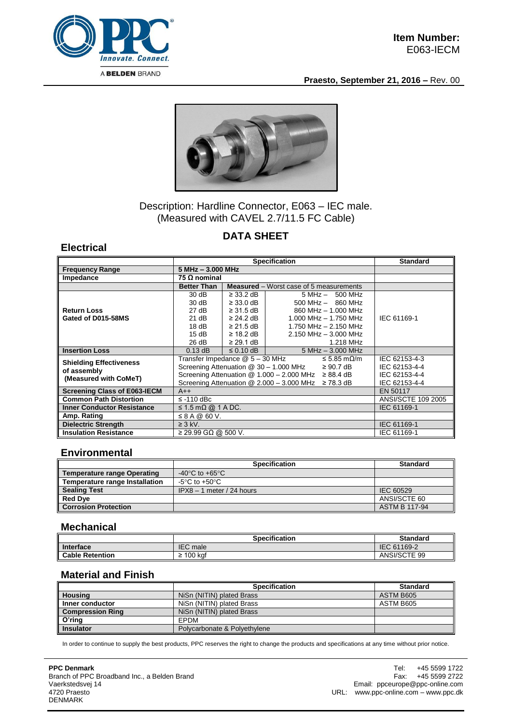

**Praesto, September 21, 2016 –** Rev. 00



## Description: Hardline Connector, E063 – IEC male. (Measured with CAVEL 2.7/11.5 FC Cable)

# **DATA SHEET**

### **Electrical**

|                                     | <b>Specification</b>                                       |                            |                                                | <b>Standard</b>    |  |
|-------------------------------------|------------------------------------------------------------|----------------------------|------------------------------------------------|--------------------|--|
| <b>Frequency Range</b>              |                                                            | $5 MHz - 3.000 MHz$        |                                                |                    |  |
| Impedance                           | 75 $\Omega$ nominal                                        |                            |                                                |                    |  |
|                                     | <b>Better Than</b>                                         |                            | <b>Measured</b> – Worst case of 5 measurements |                    |  |
|                                     | 30dB                                                       | $\geq$ 33.2 dB             | $5 MHz - 500 MHz$                              |                    |  |
|                                     | 30dB                                                       | $\geq$ 33.0 dB             | $500$ MHz $-$ 860 MHz                          |                    |  |
| <b>Return Loss</b>                  | 27 dB                                                      | $\geq$ 31.5 dB $\parallel$ | 860 MHz - 1,000 MHz                            |                    |  |
| Gated of D015-58MS                  | 21 dB                                                      | $\geq$ 24.2 dB $\parallel$ | 1.000 MHz $-$ 1.750 MHz                        | IEC 61169-1        |  |
|                                     | 18dB                                                       | $\geq$ 21.5 dB             | 1.750 MHz - 2.150 MHz                          |                    |  |
|                                     | 15dB                                                       | $\geq$ 18.2 dB             | $2.150$ MHz $-$ 3.000 MHz                      |                    |  |
|                                     | 26 dB                                                      | $\geq$ 29.1 dB             | 1.218 MHz                                      |                    |  |
| <b>Insertion Loss</b>               | $0.13$ dB                                                  | $\leq$ 0.10 dB             | 5 MHz - 3.000 MHz                              |                    |  |
| <b>Shielding Effectiveness</b>      | Transfer Impedance @ 5 - 30 MHz<br>≤ 5.85 mΩ/m             |                            |                                                | IEC 62153-4-3      |  |
| of assembly                         | Screening Attenuation @ 30 - 1.000 MHz<br>$\geq 90.7$ dB   |                            |                                                | IEC 62153-4-4      |  |
| (Measured with CoMeT)               | Screening Attenuation $@ 1.000 - 2.000$ MHz $\geq 88.4$ dB |                            |                                                | IEC 62153-4-4      |  |
|                                     | Screening Attenuation $@$ 2.000 - 3.000 MHz $\geq$ 78.3 dB |                            |                                                | IEC 62153-4-4      |  |
| <b>Screening Class of E063-IECM</b> | $A++$                                                      |                            |                                                | EN 50117           |  |
| <b>Common Path Distortion</b>       | $\leq$ -110 dBc                                            |                            |                                                | ANSI/SCTE 109 2005 |  |
| <b>Inner Conductor Resistance</b>   | $\leq$ 1.5 m $\Omega$ @ 1 A DC.                            | IEC 61169-1                |                                                |                    |  |
| Amp. Rating                         | $\leq$ 8 A @ 60 V.                                         |                            |                                                |                    |  |
| <b>Dielectric Strength</b>          | $\geq$ 3 kV.                                               | IEC 61169-1                |                                                |                    |  |
| <b>Insulation Resistance</b>        | $≥$ 29.99 GΩ @ 500 V.                                      |                            |                                                | IEC 61169-1        |  |

#### **Environmental**

|                                       | <b>Specification</b>                 | <b>Standard</b>      |
|---------------------------------------|--------------------------------------|----------------------|
| <b>Temperature range Operating</b>    | -40 $^{\circ}$ C to +65 $^{\circ}$ C |                      |
| <b>Temperature range Installation</b> | -5°C to +50°C                        |                      |
| <b>Sealing Test</b>                   | $IPX8 - 1$ meter / 24 hours          | IEC 60529            |
| <b>Red Dye</b>                        |                                      | ANSI/SCTE 60         |
| <b>Corrosion Protection</b>           |                                      | <b>ASTM B 117-94</b> |

#### **Mechanical**

|                        | Specification       | <b>Standard</b> |
|------------------------|---------------------|-----------------|
| <b>Interface</b>       | IEC<br>male         | IEC 61169-2     |
| <b>Cable Retention</b> | 100 kaf<br><u>.</u> | ANSI/SCTE 99    |

#### **Material and Finish**

|                         | <b>Specification</b>         | <b>Standard</b> |
|-------------------------|------------------------------|-----------------|
| <b>Housing</b>          | NiSn (NITIN) plated Brass    | ASTM B605       |
| Inner conductor         | NiSn (NITIN) plated Brass    | ASTM B605       |
| <b>Compression Ring</b> | NiSn (NITIN) plated Brass    |                 |
| O'ring                  | <b>FPDM</b>                  |                 |
| <b>Insulator</b>        | Polycarbonate & Polyethylene |                 |

In order to continue to supply the best products, PPC reserves the right to change the products and specifications at any time without prior notice.

**PPC Denmark** Branch of PPC Broadband Inc., a Belden Brand Vaerkstedsvej 14 4720 Praesto DENMARK